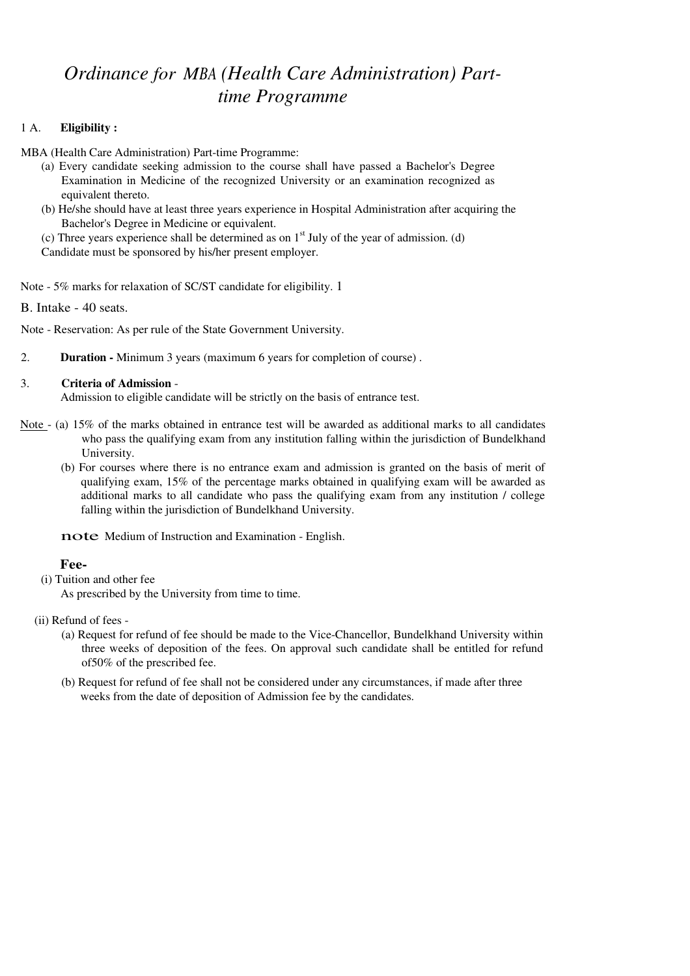# *Ordinance for MBA (Health Care Administration) Parttime Programme*

### 1 A. **Eligibility :**

MBA (Health Care Administration) Part-time Programme:

- (a) Every candidate seeking admission to the course shall have passed a Bachelor's Degree Examination in Medicine of the recognized University or an examination recognized as equivalent thereto.
- (b) He/she should have at least three years experience in Hospital Administration after acquiring the Bachelor's Degree in Medicine or equivalent.

(c) Three years experience shall be determined as on  $1<sup>st</sup>$  July of the year of admission. (d) Candidate must be sponsored by his/her present employer.

Note - 5% marks for relaxation of SC/ST candidate for eligibility. 1

B. Intake - 40 seats.

Note - Reservation: As per rule of the State Government University.

2. **Duration -** Minimum 3 years (maximum 6 years for completion of course) .

#### 3. **Criteria of Admission** -

Admission to eligible candidate will be strictly on the basis of entrance test.

- Note (a) 15% of the marks obtained in entrance test will be awarded as additional marks to all candidates who pass the qualifying exam from any institution falling within the jurisdiction of Bundelkhand University.
	- (b) For courses where there is no entrance exam and admission is granted on the basis of merit of qualifying exam, 15% of the percentage marks obtained in qualifying exam will be awarded as additional marks to all candidate who pass the qualifying exam from any institution / college falling within the jurisdiction of Bundelkhand University.

note Medium of Instruction and Examination - English.

#### **Fee-**

(i) Tuition and other fee

As prescribed by the University from time to time.

- (ii) Refund of fees
	- (a) Request for refund of fee should be made to the Vice-Chancellor, Bundelkhand University within three weeks of deposition of the fees. On approval such candidate shall be entitled for refund of50% of the prescribed fee.
	- (b) Request for refund of fee shall not be considered under any circumstances, if made after three weeks from the date of deposition of Admission fee by the candidates.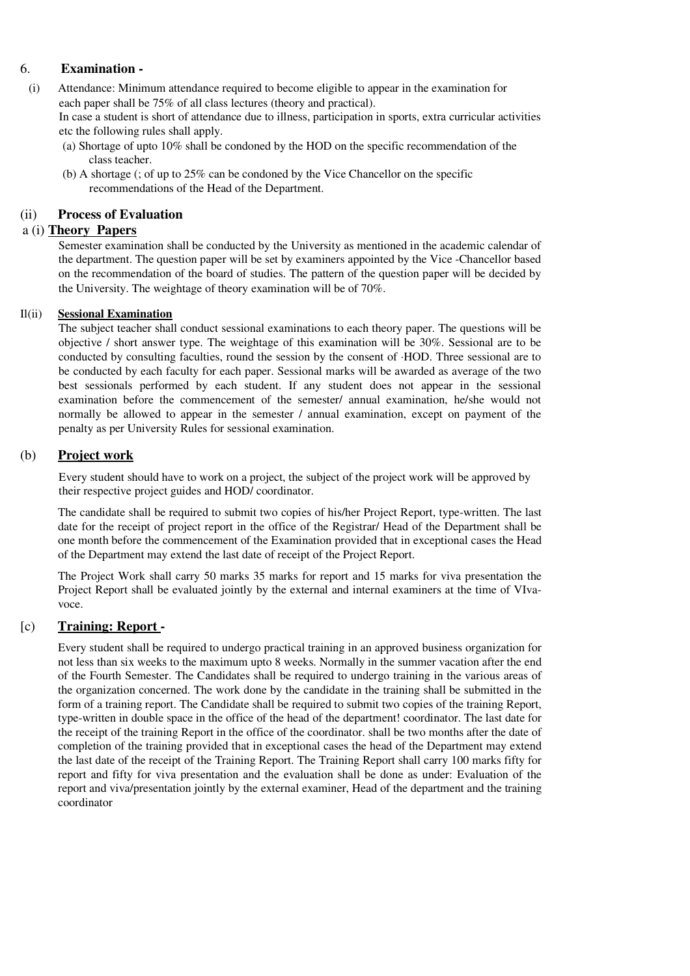# 6. **Examination -**

 (i) Attendance: Minimum attendance required to become eligible to appear in the examination for each paper shall be 75% of all class lectures (theory and practical).

In case a student is short of attendance due to illness, participation in sports, extra curricular activities etc the following rules shall apply.

- (a) Shortage of upto 10% shall be condoned by the HOD on the specific recommendation of the class teacher.
- (b) A shortage (; of up to 25% can be condoned by the Vice Chancellor on the specific recommendations of the Head of the Department.

# (ii) **Process of Evaluation**

# a (i) **Theory Papers**

Semester examination shall be conducted by the University as mentioned in the academic calendar of the department. The question paper will be set by examiners appointed by the Vice -Chancellor based on the recommendation of the board of studies. The pattern of the question paper will be decided by the University. The weightage of theory examination will be of 70%.

#### Il(ii) **Sessional Examination**

The subject teacher shall conduct sessional examinations to each theory paper. The questions will be objective / short answer type. The weightage of this examination will be 30%. Sessional are to be conducted by consulting faculties, round the session by the consent of ·HOD. Three sessional are to be conducted by each faculty for each paper. Sessional marks will be awarded as average of the two best sessionals performed by each student. If any student does not appear in the sessional examination before the commencement of the semester/ annual examination, he/she would not normally be allowed to appear in the semester / annual examination, except on payment of the penalty as per University Rules for sessional examination.

## (b) **Project work**

Every student should have to work on a project, the subject of the project work will be approved by their respective project guides and HOD/ coordinator.

The candidate shall be required to submit two copies of his/her Project Report, type-written. The last date for the receipt of project report in the office of the Registrar/ Head of the Department shall be one month before the commencement of the Examination provided that in exceptional cases the Head of the Department may extend the last date of receipt of the Project Report.

The Project Work shall carry 50 marks 35 marks for report and 15 marks for viva presentation the Project Report shall be evaluated jointly by the external and internal examiners at the time of VIvavoce.

# [c) **Training: Report -**

Every student shall be required to undergo practical training in an approved business organization for not less than six weeks to the maximum upto 8 weeks. Normally in the summer vacation after the end of the Fourth Semester. The Candidates shall be required to undergo training in the various areas of the organization concerned. The work done by the candidate in the training shall be submitted in the form of a training report. The Candidate shall be required to submit two copies of the training Report, type-written in double space in the office of the head of the department! coordinator. The last date for the receipt of the training Report in the office of the coordinator. shall be two months after the date of completion of the training provided that in exceptional cases the head of the Department may extend the last date of the receipt of the Training Report. The Training Report shall carry 100 marks fifty for report and fifty for viva presentation and the evaluation shall be done as under: Evaluation of the report and viva/presentation jointly by the external examiner, Head of the department and the training coordinator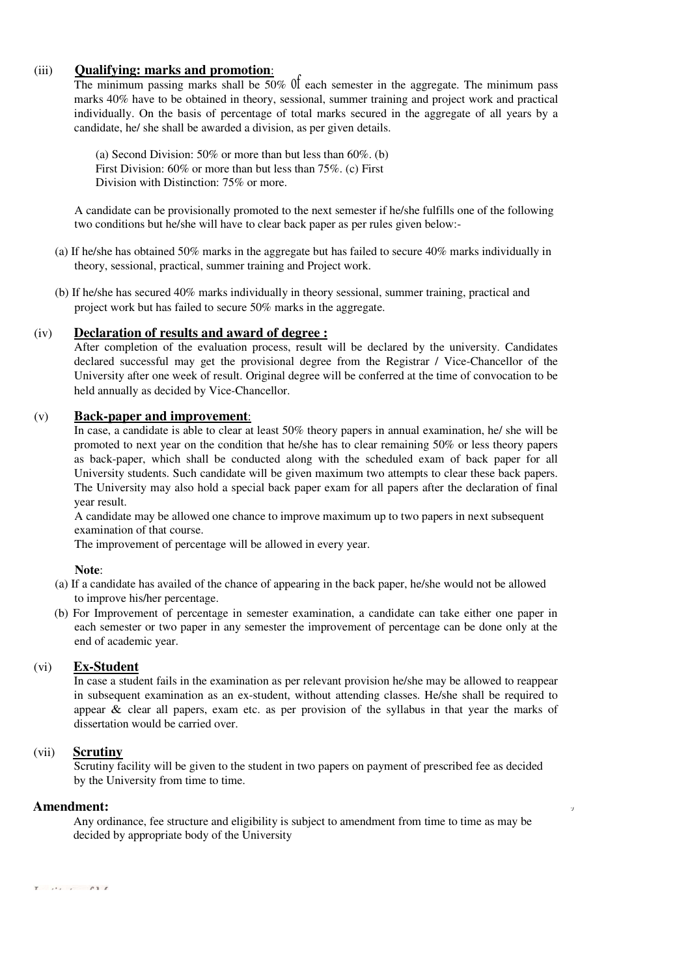### (iii) **Qualifying: marks and promotion**:

The minimum passing marks shall be 50% of each semester in the aggregate. The minimum pass marks 40% have to be obtained in theory, sessional, summer training and project work and practical individually. On the basis of percentage of total marks secured in the aggregate of all years by a candidate, he/ she shall be awarded a division, as per given details.

(a) Second Division: 50% or more than but less than 60%. (b) First Division: 60% or more than but less than 75%. (c) First Division with Distinction: 75% or more.

A candidate can be provisionally promoted to the next semester if he/she fulfills one of the following two conditions but he/she will have to clear back paper as per rules given below:-

- (a) If he/she has obtained 50% marks in the aggregate but has failed to secure 40% marks individually in theory, sessional, practical, summer training and Project work.
- (b) If he/she has secured 40% marks individually in theory sessional, summer training, practical and project work but has failed to secure 50% marks in the aggregate.

#### (iv) **Declaration of results and award of degree :**

After completion of the evaluation process, result will be declared by the university. Candidates declared successful may get the provisional degree from the Registrar / Vice-Chancellor of the University after one week of result. Original degree will be conferred at the time of convocation to be held annually as decided by Vice-Chancellor.

#### (v) **Back-paper and improvement**:

In case, a candidate is able to clear at least 50% theory papers in annual examination, he/ she will be promoted to next year on the condition that he/she has to clear remaining 50% or less theory papers as back-paper, which shall be conducted along with the scheduled exam of back paper for all University students. Such candidate will be given maximum two attempts to clear these back papers. The University may also hold a special back paper exam for all papers after the declaration of final year result.

A candidate may be allowed one chance to improve maximum up to two papers in next subsequent examination of that course.

The improvement of percentage will be allowed in every year.

#### **Note**:

- (a) If a candidate has availed of the chance of appearing in the back paper, he/she would not be allowed to improve his/her percentage.
- (b) For Improvement of percentage in semester examination, a candidate can take either one paper in each semester or two paper in any semester the improvement of percentage can be done only at the end of academic year.

#### (vi) **Ex-Student**

In case a student fails in the examination as per relevant provision he/she may be allowed to reappear in subsequent examination as an ex-student, without attending classes. He/she shall be required to appear  $\&$  clear all papers, exam etc. as per provision of the syllabus in that year the marks of dissertation would be carried over.

#### (vii) **Scrutiny**

Scrutiny facility will be given to the student in two papers on payment of prescribed fee as decided by the University from time to time.

#### **Amendment:** *'J*

Any ordinance, fee structure and eligibility is subject to amendment from time to time as may be decided by appropriate body of the University